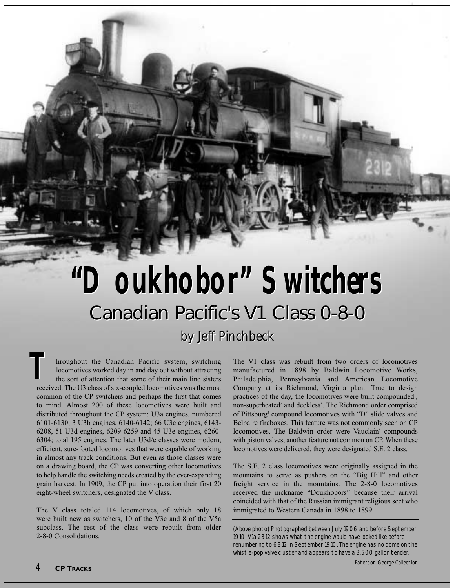# *"Doukhobor" Switchers "Doukhobor" Switchers* Canadian Pacific's V1 Class 0-8-0 Canadian Pacific's V1 Class 0-8-0 *by Jeff Pinchbeck by Jeff Pinchbeck*

hroughout the Canadian Pacific system, switching locomotives worked day in and day out without attracting the sort of attention that some of their main line sisters received. The U3 class of six-coupled locomotives was the most common of the CP switchers and perhaps the first that comes to mind. Almost 200 of these locomotives were built and distributed throughout the CP system: U3a engines, numbered 6101-6130; 3 U3b engines, 6140-6142; 66 U3c engines, 6143- 6208, 51 U3d engines, 6209-6259 and 45 U3e engines, 6260- 6304; total 195 engines. The later U3d/e classes were modern, efficient, sure-footed locomotives that were capable of working in almost any track conditions. But even as those classes were on a drawing board, the CP was converting other locomotives to help handle the switching needs created by the ever-expanding grain harvest. In 1909, the CP put into operation their first 20 eight-wheel switchers, designated the V class. *T*

The V class totaled 114 locomotives, of which only 18 were built new as switchers, 10 of the V3c and 8 of the V5a subclass. The rest of the class were rebuilt from older 2-8-0 Consolidations.

The V1 class was rebuilt from two orders of locomotives manufactured in 1898 by Baldwin Locomotive Works, Philadelphia, Pennsylvania and American Locomotive Company at its Richmond, Virginia plant. True to design practices of the day, the locomotives were built compounded<sup>1</sup>, non-superheated<sup>2</sup> and deckless<sup>3</sup>. The Richmond order comprised of Pittsburg<sup>4</sup> compound locomotives with "D" slide valves and Belpaire fireboxes. This feature was not commonly seen on CP locomotives. The Baldwin order were Vauclain<sup>5</sup> compounds with piston valves, another feature not common on CP. When these locomotives were delivered, they were designated S.E. 2 class.

The S.E. 2 class locomotives were originally assigned in the mountains to serve as pushers on the "Big Hill" and other freight service in the mountains. The 2-8-0 locomotives received the nickname "Doukhobors" because their arrival coincided with that of the Russian immigrant religious sect who immigrated to Western Canada in 1898 to 1899.

(Above photo) Photographed between July 1906 and before September 1910, V1a 2312 shows what the engine would have looked like before renumbering to 6812 in September 1910. The engine has no dome on the whistle-pop valve cluster and appears to have a 3,500 gallon tender.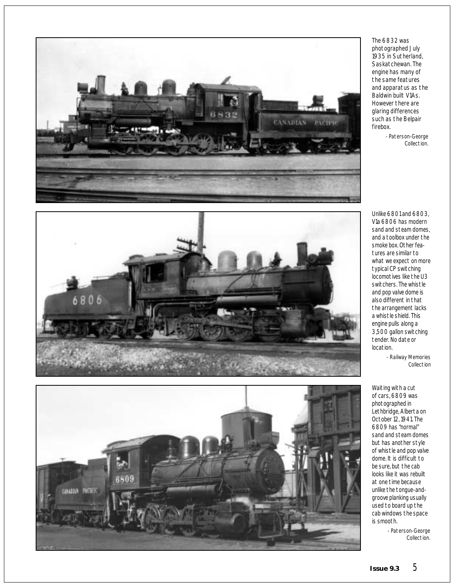





The 6832 was photographed July 1935 in Sutherland, Saskatchewan. The engine has many of the same features and apparatus as the Baldwin built V1As. However there are glaring differences such as the Belpair firebox.

- Paterson-George Collection.

Unlike 6801 and 6803, V1a 6806 has modern sand and steam domes, and a toolbox under the smoke box. Other features are similar to what we expect on more typical CP switching locomotives like the U3 switchers. The whistle and pop valve dome is also different in that the arrangement lacks a whistle shield. This engine pulls along a 3,500 gallon switching tender. No date or location.

- Railway Memories Collection

Waiting with a cut of cars, 6809 was photographed in Lethbridge, Alberta on October 12, 1941. The 6809 has "normal" sand and steam domes but has another style of whistle and pop valve dome. It is difficult to be sure, but the cab looks like it was rebuilt at one time because unlike the tongue-andgroove planking usually used to board up the cab windows the space is smooth.

> - Paterson-George Collection.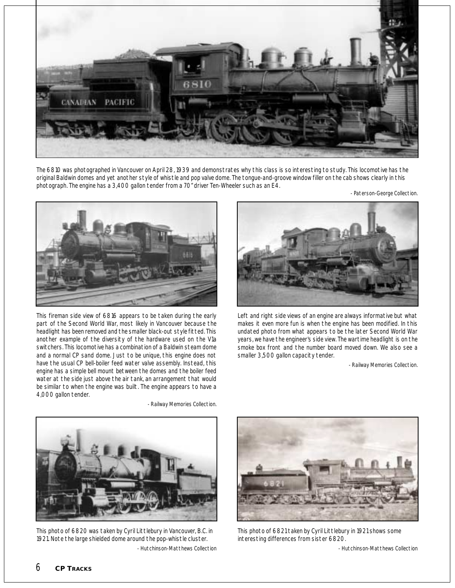

The 6810 was photographed in Vancouver on April 28, 1939 and demonstrates why this class is so interesting to study. This locomotive has the original Baldwin domes and yet another style of whistle and pop valve dome. The tongue-and-groove window filler on the cab shows clearly in this photograph. The engine has a 3,400 gallon tender from a 70" driver Ten-Wheeler such as an E4.



This fireman side view of 6816 appears to be taken during the early part of the Second World War, most likely in Vancouver because the headlight has been removed and the smaller black-out style fitted. This another example of the diversity of the hardware used on the V1a switchers. This locomotive has a combination of a Baldwin steam dome and a normal CP sand dome. Just to be unique, this engine does not have the usual CP bell-boiler feed water valve assembly. Instead, this engine has a simple bell mount between the domes and the boiler feed water at the side just above the air tank, an arrangement that would be similar to when the engine was built. The engine appears to have a 4,000 gallon tender.

- Railway Memories Collection.

Left and right side views of an engine are always informative but what makes it even more fun is when the engine has been modified. In this undated photo from what appears to be the later Second World War years, we have the engineer's side view. The wartime headlight is on the smoke box front and the number board moved down. We also see a smaller 3,500 gallon capacity tender.

- Railway Memories Collection.

- Paterson-George Collection.



This photo of 6820 was taken by Cyril Littlebury in Vancouver, B.C. in 1921. Note the large shielded dome around the pop-whistle cluster. - Hutchinson-Matthews Collection



This photo of 6821 taken by Cyril Littlebury in 1921 shows some interesting differences from sister 6820.

- Hutchinson-Matthews Collection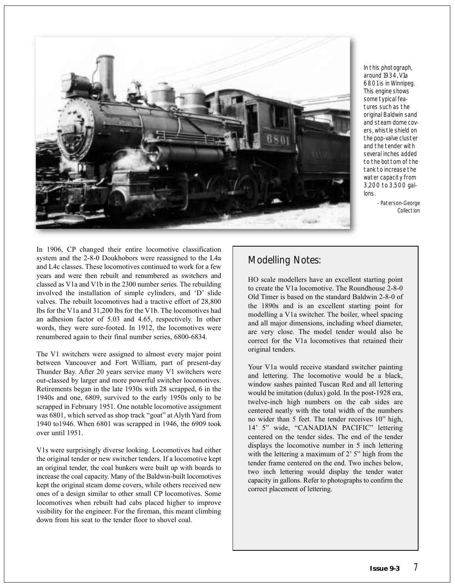

In this photograph, In this photograph,<br>around 1934, Vla<br>6801 is in Winnipeg.<br>This engine shows<br>some typical fea-<br>tures such as the<br>original Baldwin sand<br>and steam dome covers, whistle shield on<br>the pop-valve cluster<br>and the tender with<br>sever around 1934, V1a 6801 is in Winnipeg. This engine shows some typical features such as the original Baldwin sand and steam dome covers, whistle shield on the pop-valve cluster and the tender with several inches added to the bottom of the tank to increase the water capacity from 3,200 to 3,500 gallons.

- Paterson-George Collection

In 1906, CP changed their entire locomotive classification system and the 2-8-0 Doukhobors were reassigned to the L4a and L4c classes. These locomotives continued to work for a few years and were then rebuilt and renumbered as switchers and classed as V1a and V1b in the 2300 number series. The rebuilding involved the installation of simple cylinders, and 'D' slide valves. The rebuilt locomotives had a tractive effort of 28,800 lbs for the V1a and 31,200 lbs for the V1b. The locomotives had an adhesion factor of 5.03 and 4.65, respectively. In other words, they were sure-footed. In 1912, the locomotives were renumbered again to their final number series, 6800-6834.

The V1 switchers were assigned to almost every major point between Vancouver and Fort William, part of present-day Thunder Bay. After 20 years service many V1 switchers were out-classed by larger and more powerful switcher locomotives. Retirements began in the late 1930s with 28 scrapped, 6 in the 1940s and one, 6809, survived to the early 1950s only to be scrapped in February 1951. One notable locomotive assignment was 6801, which served as shop track "goat" at Alyth Yard from 1940 to1946. When 6801 was scrapped in 1946, the 6909 took over until 1951.

V1s were surprisingly diverse looking. Locomotives had either the original tender or new switcher tenders. If a locomotive kept an original tender, the coal bunkers were built up with boards to increase the coal capacity. Many of the Baldwin-built locomotives kept the original steam dome covers, while others received new ones of a design similar to other small CP locomotives. Some locomotives when rebuilt had cabs placed higher to improve visibility for the engineer. For the fireman, this meant climbing down from his seat to the tender floor to shovel coal.

## *Modelling Notes:*

HO scale modellers have an excellent starting point to create the V1a locomotive. The Roundhouse 2-8-0 Old Timer is based on the standard Baldwin 2-8-0 of the 1890s and is an excellent starting point for modelling a V1a switcher. The boiler, wheel spacing and all major dimensions, including wheel diameter, are very close. The model tender would also be correct for the V1a locomotives that retained their original tenders.

Your V1a would receive standard switcher painting and lettering. The locomotive would be a black, window sashes painted Tuscan Red and all lettering would be imitation (dulux) gold. In the post-1928 era, twelve-inch high numbers on the cab sides are centered neatly with the total width of the numbers no wider than 5 feet. The tender receives 10" high, 14' 5" wide, "CANADIAN PACIFIC" lettering centered on the tender sides. The end of the tender displays the locomotive number in 5 inch lettering with the lettering a maximum of 2' 5" high from the tender frame centered on the end. Two inches below, two inch lettering would display the tender water capacity in gallons. Refer to photographs to confirm the correct placement of lettering.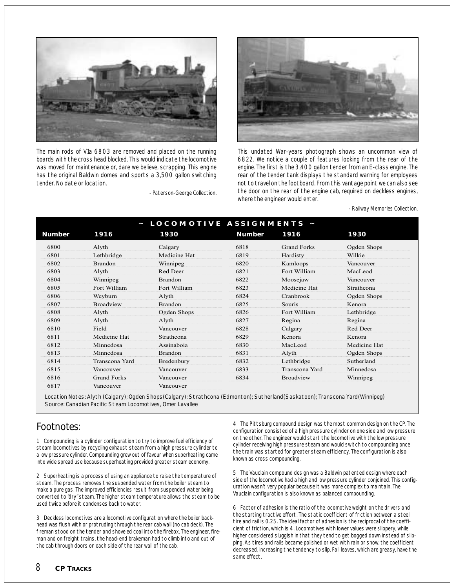

The main rods of V1a 6803 are removed and placed on the running boards with the cross head blocked. This would indicate the locomotive was moved for maintenance or, dare we believe, scrapping. This engine has the original Baldwin domes and sports a 3,500 gallon switching tender. No date or location.

- Paterson-George Collection.



This undated War-years photograph shows an uncommon view of 6822. We notice a couple of features looking from the rear of the engine. The first is the 3,400 gallon tender from an E-class engine. The rear of the tender tank displays the standard warning for employees not to travel on the footboard. From this vantage point we can also see the door on the rear of the engine cab, required on deckless engines, where the engineer would enter.

- Railway Memories Collection.

|               | LOCOMOTIVE ASSIGNMENTS |                |               |                    |              |
|---------------|------------------------|----------------|---------------|--------------------|--------------|
| <b>Number</b> | 1916                   | 1930           | <b>Number</b> | 1916               | 1930         |
| 6800          | Alyth                  | Calgary        | 6818          | <b>Grand Forks</b> | Ogden Shops  |
| 6801          | Lethbridge             | Medicine Hat   | 6819          | Hardisty           | Wilkie       |
| 6802          | <b>Brandon</b>         | Winnipeg       | 6820          | Kamloops           | Vancouver    |
| 6803          | Alyth                  | Red Deer       | 6821          | Fort William       | MacLeod      |
| 6804          | Winnipeg               | <b>Brandon</b> | 6822          | Moosejaw           | Vancouver    |
| 6805          | Fort William           | Fort William   | 6823          | Medicine Hat       | Strathcona   |
| 6806          | Weyburn                | Alyth          | 6824          | Cranbrook          | Ogden Shops  |
| 6807          | <b>Broadview</b>       | <b>Brandon</b> | 6825          | Souris             | Kenora       |
| 6808          | Alyth                  | Ogden Shops    | 6826          | Fort William       | Lethbridge   |
| 6809          | Alyth                  | Alyth          | 6827          | Regina             | Regina       |
| 6810          | Field                  | Vancouver      | 6828          | Calgary            | Red Deer     |
| 6811          | Medicine Hat           | Strathcona     | 6829          | Kenora             | Kenora       |
| 6812          | Minnedosa              | Assinaboia     | 6830          | MacLeod            | Medicine Hat |
| 6813          | Minnedosa              | <b>Brandon</b> | 6831          | Alyth              | Ogden Shops  |
| 6814          | Transcona Yard         | Bredenbury     | 6832          | Lethbridge         | Sutherland   |
| 6815          | Vancouver              | Vancouver      | 6833          | Transcona Yard     | Minnedosa    |
| 6816          | <b>Grand Forks</b>     | Vancouver      | 6834          | <b>Broadview</b>   | Winnipeg     |
| 6817          | Vancouver              | Vancouver      |               |                    |              |

Location Notes: Alyth (Calgary); Ogden Shops(Calgary); Strathcona (Edmonton); Sutherland(Saskatoon); Transcona Yard(Winnipeg) Source: Canadian Pacific Steam Locomotives, Omer Lavallee

### *Footnotes:*

1 Compounding is a cylinder configuration to try to improve fuel efficiency of steam locomotives by recycling exhaust steam from a high pressure cylinder to a low pressure cylinder. Compounding grew out of favour when superheating came into wide spread use because superheating provided greater steam economy.

2 Superheating is a process of using an appliance to raise the temperature of steam. The process removes the suspended water from the boiler steam to make a pure gas. The improved efficiencies result from suspended water being converted to "dry" steam. The higher steam temperature allows the steam to be used twice before it condenses back to water.

3 Deckless locomotives are a locomotive configuration where the boiler backhead was flush with or protruding through the rear cab wall (no cab deck). The fireman stood on the tender and shoveled coal into the firebox. The engineer, fireman and on freight trains, the head-end brakeman had to climb into and out of the cab through doors on each side of the rear wall of the cab.

4 The Pittsburg compound design was the most common design on the CP. The configuration consisted of a high pressure cylinder on one side and low pressure on the other. The engineer would start the locomotive with the low pressure cylinder receiving high pressure steam and would switch to compounding once the train was started for greater steam efficiency. The configuration is also known as cross compounding.

5 The Vauclain compound design was a Baldwin patented design where each side of the locomotive had a high and low pressure cylinder conjoined. This configuration wasn't very popular because it was more complex to maintain. The Vauclain configuration is also known as balanced compounding.

6 Factor of adhesion is the ratio of the locomotive weight on the drivers and the starting tractive effort. The static coefficient of friction between a steel tire and rail is 0.25. The ideal factor of adhesion is the reciprocal of the coefficient of friction, which is 4. Locomotives with lower values were slippery, while higher considered sluggish in that they tend to get bogged down instead of slipping. As tires and rails became polished or wet with rain or snow, the coefficient decreased, increasing the tendency to slip. Fall leaves, which are greasy, have the same effect.